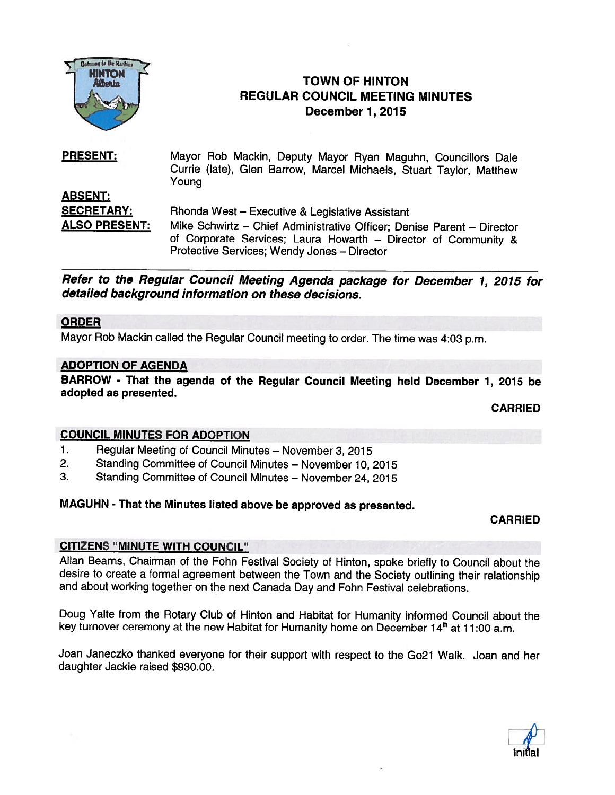

# FIGN FIGURE **TOWN OF HINTON** REGULAR COUNCIL MEETING MINUTES December 1, 2015

PRESENT: Mayor Rob Mackin, Deputy Mayor Ryan Maguhn, Councillors Dale Currie (late), Glen Barrow, Marcel Michaels, Stuart Taylor, Matthew Young ABSENT: SECRETARY: Rhonda West – Executive & Legislative Assistant ALSO PRESENT: Mike Schwirtz - Chief Administrative Officer; Denise Parent - Director of Corporate Services; Laura Howarth — Director of Community & Protective Services; Wendy Jones — Director

Refer to the Regular Council Meeting Agenda package for December 1, 2015 for detailed background information on these decisions.

## ORDER

Mayor Rob Mackin called the Regular Council meeting to order. The time was 4:03 p.m.

## ADOPTION OF AGENDA

BARROW - That the agenda of the Regular Council Meeting held December 1, <sup>2015</sup> be adopted as presented.

CARRIED

# COUNCIL MINUTES FOR ADOPTION

- 1. Regular Meeting of Council Minutes November 3, 2015
- 2. Standing Committee of Council Minutes November 10, 2015
- 3. Standing Committee of Council Minutes November 24, 2015

#### MAGUHN - That the Minutes listed above be approve<sup>d</sup> as presented.

#### CARRIED

## CITIZENS "MINUTE WITH COUNCIL"

Allan Beams, Chairman of the Fohn Festival Society of Hinton, spoke briefly to Council about the desire to create <sup>a</sup> formal agreemen<sup>t</sup> between the Town and the Society outlining their relationship and about working together on the next Canada Day and Fohn Festival celebrations.

Doug Yalte from the Rotary Club of Hinton and Habitat for Humanity informed Council about the key turnover ceremony at the new Habitat for Humanity home on December 14th at 11:00 a.m.

Joan Janeczko thanked everyone for their suppor<sup>t</sup> with respec<sup>t</sup> to the Go21 Walk. Joan and her daughter Jackie raised \$930.00.

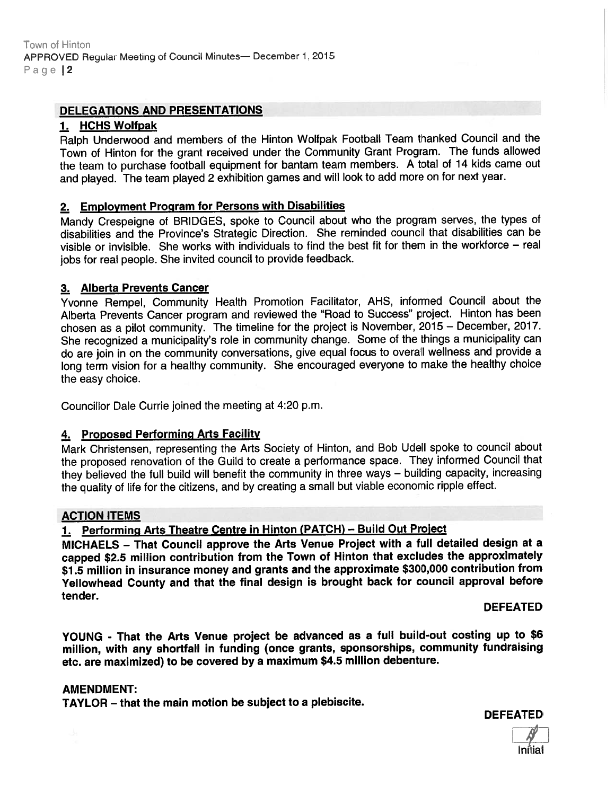## DELEGATIONS AND PRESENTATIONS

#### 1. HCHS Wolfpak

Ralph Underwood and members of the Hinton Wolfpak Football Team thanked Council and the Town of Hinton for the gran<sup>t</sup> received under the Community Grant Program. The funds allowed the team to purchase football equipment for bantam team members. <sup>A</sup> total of <sup>14</sup> kids came out and <sup>p</sup>layed. The team <sup>p</sup>layed <sup>2</sup> exhibition games and will look to add more on for next year.

## 2. Employment Program for Persons with Disabilities

Mandy Crespeigne of BRIDGES, spoke to Council about who the program serves, the types of disabilities and the Province's Strategic Direction. She reminded council that disabilities can be visible or invisible. She works with individuals to find the best fit for them in the workforce — real jobs for real people. She invited council to provide feedback.

## 3. Alberta Prevents Cancer

Yvonne Rempel, Community Health Promotion Facilitator, AHS, informed Council about the Alberta Prevents Cancer program and reviewed the "Road to Success" project. Hinton has been chosen as <sup>a</sup> <sup>p</sup>ilot community. The timeline for the project is November, <sup>2015</sup> — December, 2017. She recognized a municipality's role in community change. Some of the things a municipality can do are join in on the community conversations, <sup>g</sup>ive equa<sup>l</sup> focus to overall wellness and provide <sup>a</sup> long term vision for <sup>a</sup> healthy community. She encourage<sup>d</sup> everyone to make the healthy choice the easy choice.

Councillor Dale Currie joined the meeting at 4:20 p.m.

## 4. Proposed Performing Arts Facility

Mark Christensen, representing the Arts Society of Hinton, and Bob Udell spoke to council about the propose<sup>d</sup> renovation of the Guild to create <sup>a</sup> performance space. They informed Council that they believed the full build will benefit the community in three ways — building capacity, increasing the quality of life for the citizens, and by creating <sup>a</sup> small but viable economic ripple effect.

## ACTION ITEMS

# 1. Performing Arts Theatre Centre in Hinton (PATCH) — Build Out Project

MICHAELS — That Council approve the Arts Venue Project with <sup>a</sup> full detailed design at <sup>a</sup> cappe<sup>d</sup> \$2.5 million contribution from the Town of Hinton that excludes the approximately \$1.5 million in jnsurance money and grants and the approximate \$300,000 contrjbutjon from Yellowhead County and that the final design is brought back for council approva<sup>l</sup> before tender.

DEFEATED

YOUNG - That the Arts Venue project be advanced as <sup>a</sup> full build-out costing up to \$6 million, with any shortfall in funding (once grants, sponsorships, community fundraising etc. are maximized) to be covered by <sup>a</sup> maximum \$4.5 million debenture.

#### AMENDMENT:

TAYLOR — that the main motion be subject to <sup>a</sup> plebiscite.

DEFEATED

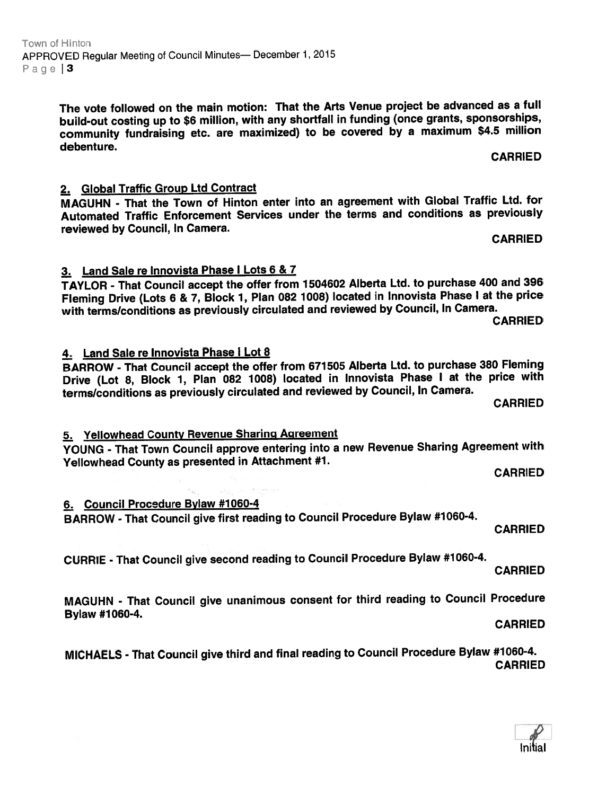The vote followed on the main motion: That the Arts Venue project be advanced as <sup>a</sup> full build-out costing up to \$6 million, with any shortfall in funding (once grants, sponsorships, community fundraising etc. are maximized) to be covered by <sup>a</sup> maximum \$4.5 million debenture. CARRIED

2. Global Traffic Group Ltd Contract

3. Land Sale re Innovista Phase I Lots 6 & 7

MAGUHN - That the Town of Hinton enter into an agreemen<sup>t</sup> with Global Traffic Ltd. for Automated Traffic Enforcement Services under the terms and conditions as previously reviewed by Council, In Camera. CARRIED And the Second Second Second Second Second Second Second Second Second S

TAYLOR - That Council accep<sup>t</sup> the offer from <sup>1504602</sup> Alberta Ltd. to purchase <sup>400</sup> and <sup>396</sup>

with terms/conditions as previously circulated and reviewed by Council, In Camera. CARRIED

4. Land Sale re Innovista Phase I Lot 8 BARROW - That Council accep<sup>t</sup> the offer from <sup>671505</sup> Alberta Ltd. to purchase <sup>380</sup> Fleming Drive (Lot 8, Block 1, Plan <sup>062</sup> 1008) located in Innovista Phase <sup>I</sup> at the price with terms/conditions as previously circulated and reviewed by Council, In Camera.

CARRIED

# 5. Yellowhead County Revenue Sharing Agreement

YOUNG - That Town Council approve entering into <sup>a</sup> new Revenue Sharing Agreement with Yellowhead County as presented in Attachment #1.

CARRIED

6. Council Procedure Bylaw #1060-4

BARROW - That Council <sup>g</sup>ive first reading to Council Procedure Bylaw #1060-4.

CARRIED

CURRIE - That Council <sup>g</sup>ive second reading to Council Procedure Bylaw #1060-4.

CARRIED

MAGUHN - That Council <sup>g</sup>ive unanimous consent for third reading to Council Procedure Bylaw #1060-4. CARRIED

MICHAELS - That Council <sup>g</sup>ive third and final reading to Council Procedure Bylaw #1060-4. CARRIED

Fleming Drive (Lots <sup>6</sup> & 7, Block 1, Plan <sup>082</sup> 1008) located in Innovista Phase <sup>I</sup> at the price